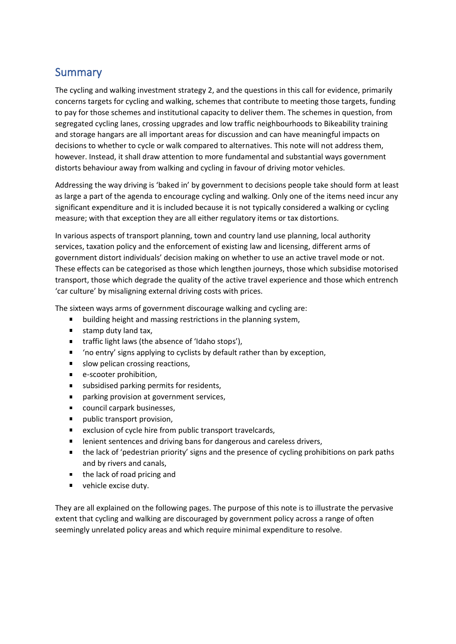## **Summary**

The cycling and walking investment strategy 2, and the questions in this call for evidence, primarily concerns targets for cycling and walking, schemes that contribute to meeting those targets, funding to pay for those schemes and institutional capacity to deliver them. The schemes in question, from segregated cycling lanes, crossing upgrades and low traffic neighbourhoods to Bikeability training and storage hangars are all important areas for discussion and can have meaningful impacts on decisions to whether to cycle or walk compared to alternatives. This note will not address them, however. Instead, it shall draw attention to more fundamental and substantial ways government distorts behaviour away from walking and cycling in favour of driving motor vehicles.

Addressing the way driving is 'baked in' by government to decisions people take should form at least as large a part of the agenda to encourage cycling and walking. Only one of the items need incur any significant expenditure and it is included because it is not typically considered a walking or cycling measure; with that exception they are all either regulatory items or tax distortions.

In various aspects of transport planning, town and country land use planning, local authority services, taxation policy and the enforcement of existing law and licensing, different arms of government distort individuals' decision making on whether to use an active travel mode or not. These effects can be categorised as those which lengthen journeys, those which subsidise motorised transport, those which degrade the quality of the active travel experience and those which entrench 'car culture' by misaligning external driving costs with prices.

The sixteen ways arms of government discourage walking and cycling are:

- building height and massing restrictions in the planning system,  $\mathbf{u}$
- $\mathbf{u}$  . stamp duty land tax,
- traffic light laws (the absence of 'Idaho stops'),
- 'no entry' signs applying to cyclists by default rather than by exception,  $\blacksquare$
- $\blacksquare$ slow pelican crossing reactions,
- e-scooter prohibition,  $\mathbf{r}$
- subsidised parking permits for residents,  $\blacksquare$
- $\blacksquare$ parking provision at government services,
- $\blacksquare$ council carpark businesses,
- $\blacksquare$ public transport provision,
- exclusion of cycle hire from public transport travelcards,  $\blacksquare$
- lenient sentences and driving bans for dangerous and careless drivers,  $\blacksquare$
- the lack of 'pedestrian priority' signs and the presence of cycling prohibitions on park paths  $\blacksquare$ and by rivers and canals,
- $\blacksquare$ the lack of road pricing and
- $\blacksquare$ vehicle excise duty.

They are all explained on the following pages. The purpose of this note is to illustrate the pervasive extent that cycling and walking are discouraged by government policy across a range of often seemingly unrelated policy areas and which require minimal expenditure to resolve.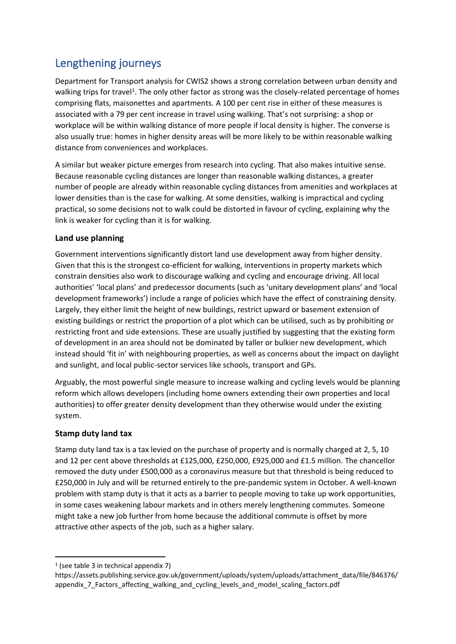# Lengthening journeys

Department for Transport analysis for CWIS2 shows a strong correlation between urban density and walking trips for travel<sup>1</sup>. The only other factor as strong was the closely-related percentage of homes comprising flats, maisonettes and apartments. A 100 per cent rise in either of these measures is associated with a 79 per cent increase in travel using walking. That's not surprising: a shop or workplace will be within walking distance of more people if local density is higher. The converse is also usually true: homes in higher density areas will be more likely to be within reasonable walking distance from conveniences and workplaces.

A similar but weaker picture emerges from research into cycling. That also makes intuitive sense. Because reasonable cycling distances are longer than reasonable walking distances, a greater number of people are already within reasonable cycling distances from amenities and workplaces at lower densities than is the case for walking. At some densities, walking is impractical and cycling practical, so some decisions not to walk could be distorted in favour of cycling, explaining why the link is weaker for cycling than it is for walking.

#### **Land use planning**

Government interventions significantly distort land use development away from higher density. Given that this is the strongest co-efficient for walking, interventions in property markets which constrain densities also work to discourage walking and cycling and encourage driving. All local authorities' 'local plans' and predecessor documents (such as 'unitary development plans' and 'local development frameworks') include a range of policies which have the effect of constraining density. Largely, they either limit the height of new buildings, restrict upward or basement extension of existing buildings or restrict the proportion of a plot which can be utilised, such as by prohibiting or restricting front and side extensions. These are usually justified by suggesting that the existing form of development in an area should not be dominated by taller or bulkier new development, which instead should 'fit in' with neighbouring properties, as well as concerns about the impact on daylight and sunlight, and local public-sector services like schools, transport and GPs.

Arguably, the most powerful single measure to increase walking and cycling levels would be planning reform which allows developers (including home owners extending their own properties and local authorities) to offer greater density development than they otherwise would under the existing system.

#### **Stamp duty land tax**

Stamp duty land tax is a tax levied on the purchase of property and is normally charged at 2, 5, 10 and 12 per cent above thresholds at £125,000, £250,000, £925,000 and £1.5 million. The chancellor removed the duty under £500,000 as a coronavirus measure but that threshold is being reduced to £250,000 in July and will be returned entirely to the pre-pandemic system in October. A well-known problem with stamp duty is that it acts as a barrier to people moving to take up work opportunities, in some cases weakening labour markets and in others merely lengthening commutes. Someone might take a new job further from home because the additional commute is offset by more attractive other aspects of the job, such as a higher salary.

<sup>1</sup> (see table 3 in technical appendix 7)

https://assets.publishing.service.gov.uk/government/uploads/system/uploads/attachment\_data/file/846376/ appendix\_7\_Factors\_affecting\_walking\_and\_cycling\_levels\_and\_model\_scaling\_factors.pdf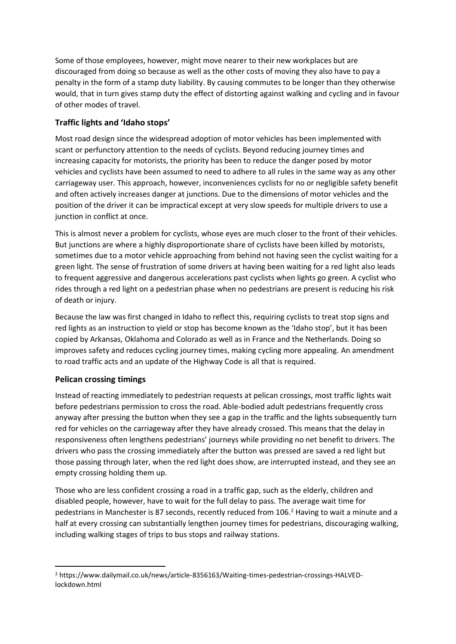Some of those employees, however, might move nearer to their new workplaces but are discouraged from doing so because as well as the other costs of moving they also have to pay a penalty in the form of a stamp duty liability. By causing commutes to be longer than they otherwise would, that in turn gives stamp duty the effect of distorting against walking and cycling and in favour of other modes of travel.

#### **Traffic lights and 'Idaho stops'**

Most road design since the widespread adoption of motor vehicles has been implemented with scant or perfunctory attention to the needs of cyclists. Beyond reducing journey times and increasing capacity for motorists, the priority has been to reduce the danger posed by motor vehicles and cyclists have been assumed to need to adhere to all rules in the same way as any other carriageway user. This approach, however, inconveniences cyclists for no or negligible safety benefit and often actively increases danger at junctions. Due to the dimensions of motor vehicles and the position of the driver it can be impractical except at very slow speeds for multiple drivers to use a junction in conflict at once.

This is almost never a problem for cyclists, whose eyes are much closer to the front of their vehicles. But junctions are where a highly disproportionate share of cyclists have been killed by motorists, sometimes due to a motor vehicle approaching from behind not having seen the cyclist waiting for a green light. The sense of frustration of some drivers at having been waiting for a red light also leads to frequent aggressive and dangerous accelerations past cyclists when lights go green. A cyclist who rides through a red light on a pedestrian phase when no pedestrians are present is reducing his risk of death or injury.

Because the law was first changed in Idaho to reflect this, requiring cyclists to treat stop signs and red lights as an instruction to yield or stop has become known as the 'Idaho stop', but it has been copied by Arkansas, Oklahoma and Colorado as well as in France and the Netherlands. Doing so improves safety and reduces cycling journey times, making cycling more appealing. An amendment to road traffic acts and an update of the Highway Code is all that is required.

#### **Pelican crossing timings**

Instead of reacting immediately to pedestrian requests at pelican crossings, most traffic lights wait before pedestrians permission to cross the road. Able-bodied adult pedestrians frequently cross anyway after pressing the button when they see a gap in the traffic and the lights subsequently turn red for vehicles on the carriageway after they have already crossed. This means that the delay in responsiveness often lengthens pedestrians' journeys while providing no net benefit to drivers. The drivers who pass the crossing immediately after the button was pressed are saved a red light but those passing through later, when the red light does show, are interrupted instead, and they see an empty crossing holding them up.

Those who are less confident crossing a road in a traffic gap, such as the elderly, children and disabled people, however, have to wait for the full delay to pass. The average wait time for pedestrians in Manchester is 87 seconds, recently reduced from 106.<sup>2</sup> Having to wait a minute and a half at every crossing can substantially lengthen journey times for pedestrians, discouraging walking, including walking stages of trips to bus stops and railway stations.

<sup>2</sup> https://www.dailymail.co.uk/news/article-8356163/Waiting-times-pedestrian-crossings-HALVEDlockdown.html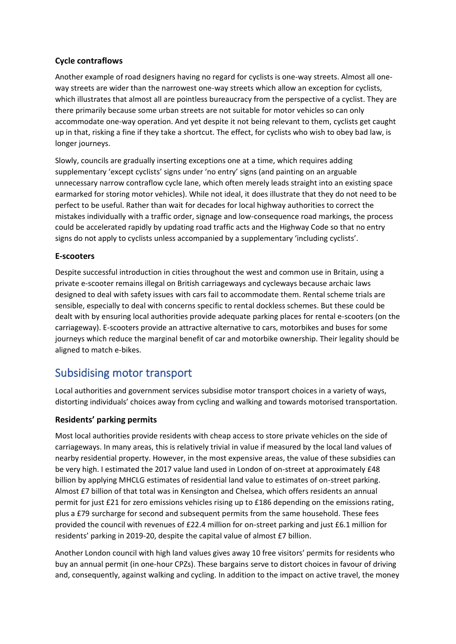#### **Cycle contraflows**

Another example of road designers having no regard for cyclists is one-way streets. Almost all oneway streets are wider than the narrowest one-way streets which allow an exception for cyclists, which illustrates that almost all are pointless bureaucracy from the perspective of a cyclist. They are there primarily because some urban streets are not suitable for motor vehicles so can only accommodate one-way operation. And yet despite it not being relevant to them, cyclists get caught up in that, risking a fine if they take a shortcut. The effect, for cyclists who wish to obey bad law, is longer journeys.

Slowly, councils are gradually inserting exceptions one at a time, which requires adding supplementary 'except cyclists' signs under 'no entry' signs (and painting on an arguable unnecessary narrow contraflow cycle lane, which often merely leads straight into an existing space earmarked for storing motor vehicles). While not ideal, it does illustrate that they do not need to be perfect to be useful. Rather than wait for decades for local highway authorities to correct the mistakes individually with a traffic order, signage and low-consequence road markings, the process could be accelerated rapidly by updating road traffic acts and the Highway Code so that no entry signs do not apply to cyclists unless accompanied by a supplementary 'including cyclists'.

#### **E-scooters**

Despite successful introduction in cities throughout the west and common use in Britain, using a private e-scooter remains illegal on British carriageways and cycleways because archaic laws designed to deal with safety issues with cars fail to accommodate them. Rental scheme trials are sensible, especially to deal with concerns specific to rental dockless schemes. But these could be dealt with by ensuring local authorities provide adequate parking places for rental e-scooters (on the carriageway). E-scooters provide an attractive alternative to cars, motorbikes and buses for some journeys which reduce the marginal benefit of car and motorbike ownership. Their legality should be aligned to match e-bikes.

### Subsidising motor transport

Local authorities and government services subsidise motor transport choices in a variety of ways, distorting individuals' choices away from cycling and walking and towards motorised transportation.

#### **Residents' parking permits**

Most local authorities provide residents with cheap access to store private vehicles on the side of carriageways. In many areas, this is relatively trivial in value if measured by the local land values of nearby residential property. However, in the most expensive areas, the value of these subsidies can be very high. I estimated the 2017 value land used in London of on-street at approximately £48 billion by applying MHCLG estimates of residential land value to estimates of on-street parking. Almost £7 billion of that total was in Kensington and Chelsea, which offers residents an annual permit for just £21 for zero emissions vehicles rising up to £186 depending on the emissions rating, plus a £79 surcharge for second and subsequent permits from the same household. These fees provided the council with revenues of £22.4 million for on-street parking and just £6.1 million for residents' parking in 2019-20, despite the capital value of almost £7 billion.

Another London council with high land values gives away 10 free visitors' permits for residents who buy an annual permit (in one-hour CPZs). These bargains serve to distort choices in favour of driving and, consequently, against walking and cycling. In addition to the impact on active travel, the money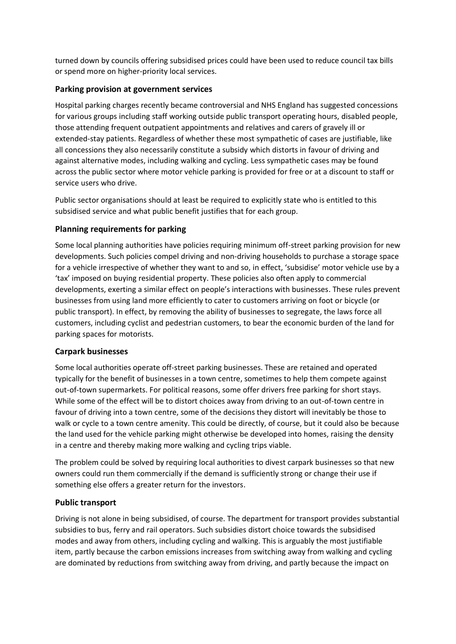turned down by councils offering subsidised prices could have been used to reduce council tax bills or spend more on higher-priority local services.

#### **Parking provision at government services**

Hospital parking charges recently became controversial and NHS England has suggested concessions for various groups including staff working outside public transport operating hours, disabled people, those attending frequent outpatient appointments and relatives and carers of gravely ill or extended-stay patients. Regardless of whether these most sympathetic of cases are justifiable, like all concessions they also necessarily constitute a subsidy which distorts in favour of driving and against alternative modes, including walking and cycling. Less sympathetic cases may be found across the public sector where motor vehicle parking is provided for free or at a discount to staff or service users who drive.

Public sector organisations should at least be required to explicitly state who is entitled to this subsidised service and what public benefit justifies that for each group.

#### **Planning requirements for parking**

Some local planning authorities have policies requiring minimum off-street parking provision for new developments. Such policies compel driving and non-driving households to purchase a storage space for a vehicle irrespective of whether they want to and so, in effect, 'subsidise' motor vehicle use by a 'tax' imposed on buying residential property. These policies also often apply to commercial developments, exerting a similar effect on people's interactions with businesses. These rules prevent businesses from using land more efficiently to cater to customers arriving on foot or bicycle (or public transport). In effect, by removing the ability of businesses to segregate, the laws force all customers, including cyclist and pedestrian customers, to bear the economic burden of the land for parking spaces for motorists.

#### **Carpark businesses**

Some local authorities operate off-street parking businesses. These are retained and operated typically for the benefit of businesses in a town centre, sometimes to help them compete against out-of-town supermarkets. For political reasons, some offer drivers free parking for short stays. While some of the effect will be to distort choices away from driving to an out-of-town centre in favour of driving into a town centre, some of the decisions they distort will inevitably be those to walk or cycle to a town centre amenity. This could be directly, of course, but it could also be because the land used for the vehicle parking might otherwise be developed into homes, raising the density in a centre and thereby making more walking and cycling trips viable.

The problem could be solved by requiring local authorities to divest carpark businesses so that new owners could run them commercially if the demand is sufficiently strong or change their use if something else offers a greater return for the investors.

#### **Public transport**

Driving is not alone in being subsidised, of course. The department for transport provides substantial subsidies to bus, ferry and rail operators. Such subsidies distort choice towards the subsidised modes and away from others, including cycling and walking. This is arguably the most justifiable item, partly because the carbon emissions increases from switching away from walking and cycling are dominated by reductions from switching away from driving, and partly because the impact on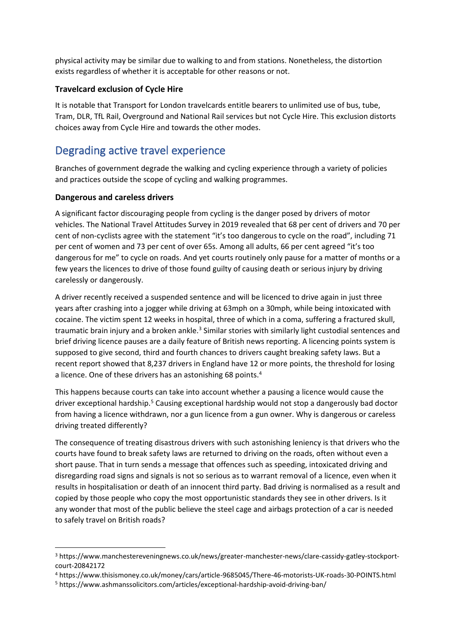physical activity may be similar due to walking to and from stations. Nonetheless, the distortion exists regardless of whether it is acceptable for other reasons or not.

#### **Travelcard exclusion of Cycle Hire**

It is notable that Transport for London travelcards entitle bearers to unlimited use of bus, tube, Tram, DLR, TfL Rail, Overground and National Rail services but not Cycle Hire. This exclusion distorts choices away from Cycle Hire and towards the other modes.

# Degrading active travel experience

Branches of government degrade the walking and cycling experience through a variety of policies and practices outside the scope of cycling and walking programmes.

#### **Dangerous and careless drivers**

A significant factor discouraging people from cycling is the danger posed by drivers of motor vehicles. The National Travel Attitudes Survey in 2019 revealed that 68 per cent of drivers and 70 per cent of non-cyclists agree with the statement "it's too dangerous to cycle on the road", including 71 per cent of women and 73 per cent of over 65s. Among all adults, 66 per cent agreed "it's too dangerous for me" to cycle on roads. And yet courts routinely only pause for a matter of months or a few years the licences to drive of those found guilty of causing death or serious injury by driving carelessly or dangerously.

A driver recently received a suspended sentence and will be licenced to drive again in just three years after crashing into a jogger while driving at 63mph on a 30mph, while being intoxicated with cocaine. The victim spent 12 weeks in hospital, three of which in a coma, suffering a fractured skull, traumatic brain injury and a broken ankle.<sup>3</sup> Similar stories with similarly light custodial sentences and brief driving licence pauses are a daily feature of British news reporting. A licencing points system is supposed to give second, third and fourth chances to drivers caught breaking safety laws. But a recent report showed that 8,237 drivers in England have 12 or more points, the threshold for losing a licence. One of these drivers has an astonishing 68 points.<sup>4</sup>

This happens because courts can take into account whether a pausing a licence would cause the driver exceptional hardship.<sup>5</sup> Causing exceptional hardship would not stop a dangerously bad doctor from having a licence withdrawn, nor a gun licence from a gun owner. Why is dangerous or careless driving treated differently?

The consequence of treating disastrous drivers with such astonishing leniency is that drivers who the courts have found to break safety laws are returned to driving on the roads, often without even a short pause. That in turn sends a message that offences such as speeding, intoxicated driving and disregarding road signs and signals is not so serious as to warrant removal of a licence, even when it results in hospitalisation or death of an innocent third party. Bad driving is normalised as a result and copied by those people who copy the most opportunistic standards they see in other drivers. Is it any wonder that most of the public believe the steel cage and airbags protection of a car is needed to safely travel on British roads?

<sup>3</sup> https://www.manchestereveningnews.co.uk/news/greater-manchester-news/clare-cassidy-gatley-stockportcourt-20842172

<sup>4</sup> https://www.thisismoney.co.uk/money/cars/article-9685045/There-46-motorists-UK-roads-30-POINTS.html

<sup>5</sup> https://www.ashmanssolicitors.com/articles/exceptional-hardship-avoid-driving-ban/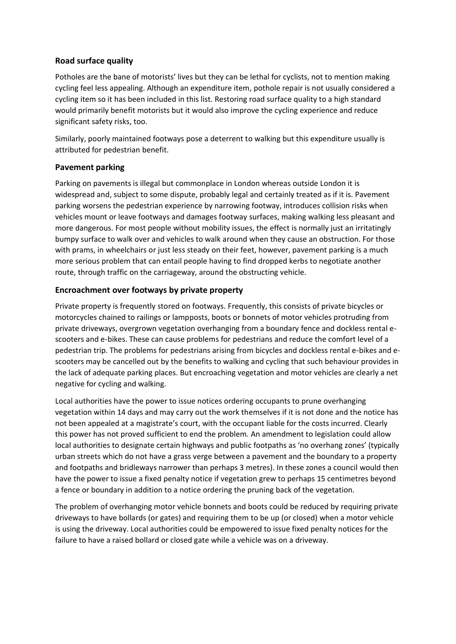#### **Road surface quality**

Potholes are the bane of motorists' lives but they can be lethal for cyclists, not to mention making cycling feel less appealing. Although an expenditure item, pothole repair is not usually considered a cycling item so it has been included in this list. Restoring road surface quality to a high standard would primarily benefit motorists but it would also improve the cycling experience and reduce significant safety risks, too.

Similarly, poorly maintained footways pose a deterrent to walking but this expenditure usually is attributed for pedestrian benefit.

#### **Pavement parking**

Parking on pavements is illegal but commonplace in London whereas outside London it is widespread and, subject to some dispute, probably legal and certainly treated as if it is. Pavement parking worsens the pedestrian experience by narrowing footway, introduces collision risks when vehicles mount or leave footways and damages footway surfaces, making walking less pleasant and more dangerous. For most people without mobility issues, the effect is normally just an irritatingly bumpy surface to walk over and vehicles to walk around when they cause an obstruction. For those with prams, in wheelchairs or just less steady on their feet, however, pavement parking is a much more serious problem that can entail people having to find dropped kerbs to negotiate another route, through traffic on the carriageway, around the obstructing vehicle.

#### **Encroachment over footways by private property**

Private property is frequently stored on footways. Frequently, this consists of private bicycles or motorcycles chained to railings or lampposts, boots or bonnets of motor vehicles protruding from private driveways, overgrown vegetation overhanging from a boundary fence and dockless rental escooters and e-bikes. These can cause problems for pedestrians and reduce the comfort level of a pedestrian trip. The problems for pedestrians arising from bicycles and dockless rental e-bikes and escooters may be cancelled out by the benefits to walking and cycling that such behaviour provides in the lack of adequate parking places. But encroaching vegetation and motor vehicles are clearly a net negative for cycling and walking.

Local authorities have the power to issue notices ordering occupants to prune overhanging vegetation within 14 days and may carry out the work themselves if it is not done and the notice has not been appealed at a magistrate's court, with the occupant liable for the costs incurred. Clearly this power has not proved sufficient to end the problem. An amendment to legislation could allow local authorities to designate certain highways and public footpaths as 'no overhang zones' (typically urban streets which do not have a grass verge between a pavement and the boundary to a property and footpaths and bridleways narrower than perhaps 3 metres). In these zones a council would then have the power to issue a fixed penalty notice if vegetation grew to perhaps 15 centimetres beyond a fence or boundary in addition to a notice ordering the pruning back of the vegetation.

The problem of overhanging motor vehicle bonnets and boots could be reduced by requiring private driveways to have bollards (or gates) and requiring them to be up (or closed) when a motor vehicle is using the driveway. Local authorities could be empowered to issue fixed penalty notices for the failure to have a raised bollard or closed gate while a vehicle was on a driveway.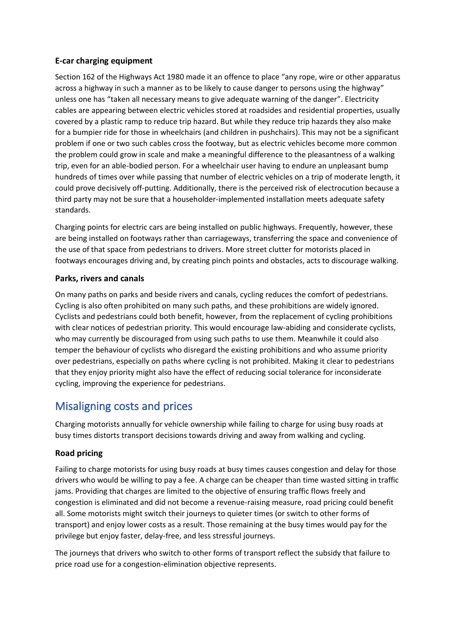#### **E-car charging equipment**

Section 162 of the Highways Act 1980 made it an offence to place "any rope, wire or other apparatus across a highway in such a manner as to be likely to cause danger to persons using the highway" unless one has "taken all necessary means to give adequate warning of the danger". Electricity cables are appearing between electric vehicles stored at roadsides and residential properties, usually covered by a plastic ramp to reduce trip hazard. But while they reduce trip hazards they also make for a bumpier ride for those in wheelchairs (and children in pushchairs). This may not be a significant problem if one or two such cables cross the footway, but as electric vehicles become more common the problem could grow in scale and make a meaningful difference to the pleasantness of a walking trip, even for an able-bodied person. For a wheelchair user having to endure an unpleasant bump hundreds of times over while passing that number of electric vehicles on a trip of moderate length, it could prove decisively off-putting. Additionally, there is the perceived risk of electrocution because a third party may not be sure that a householder-implemented installation meets adequate safety standards.

Charging points for electric cars are being installed on public highways. Frequently, however, these are being installed on footways rather than carriageways, transferring the space and convenience of the use of that space from pedestrians to drivers. More street clutter for motorists placed in footways encourages driving and, by creating pinch points and obstacles, acts to discourage walking.

#### **Parks, rivers and canals**

On many paths on parks and beside rivers and canals, cycling reduces the comfort of pedestrians. Cycling is also often prohibited on many such paths, and these prohibitions are widely ignored. Cyclists and pedestrians could both benefit, however, from the replacement of cycling prohibitions with clear notices of pedestrian priority. This would encourage law-abiding and considerate cyclists, who may currently be discouraged from using such paths to use them. Meanwhile it could also temper the behaviour of cyclists who disregard the existing prohibitions and who assume priority over pedestrians, especially on paths where cycling is not prohibited. Making it clear to pedestrians that they enjoy priority might also have the effect of reducing social tolerance for inconsiderate cycling, improving the experience for pedestrians.

## Misaligning costs and prices

Charging motorists annually for vehicle ownership while failing to charge for using busy roads at busy times distorts transport decisions towards driving and away from walking and cycling.

#### **Road pricing**

Failing to charge motorists for using busy roads at busy times causes congestion and delay for those drivers who would be willing to pay a fee. A charge can be cheaper than time wasted sitting in traffic jams. Providing that charges are limited to the objective of ensuring traffic flows freely and congestion is eliminated and did not become a revenue-raising measure, road pricing could benefit all. Some motorists might switch their journeys to quieter times (or switch to other forms of transport) and enjoy lower costs as a result. Those remaining at the busy times would pay for the privilege but enjoy faster, delay-free, and less stressful journeys.

The journeys that drivers who switch to other forms of transport reflect the subsidy that failure to price road use for a congestion-elimination objective represents.